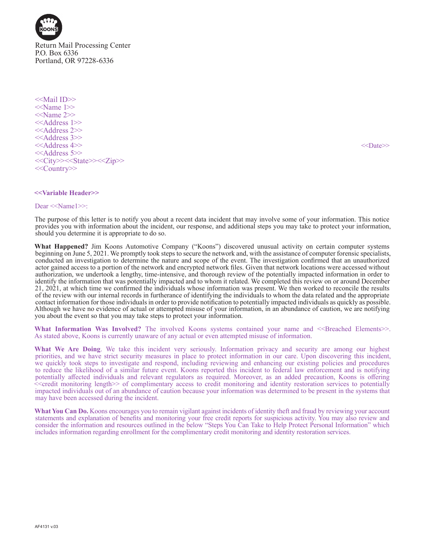

Return Mail Processing Center P.O. Box 6336 Portland, OR 97228-6336

<<Mail ID>>  $<<$ Name 1>> <<Name 2>> <<Address 1>> <<Address 2>> <<Address 3>> <<Address 4>> <<Date>> <<Address 5>> <<City>><<State>><<Zip>> <<Country>>

**<<Variable Header>>**

Dear <<Name1>>:

The purpose of this letter is to notify you about a recent data incident that may involve some of your information. This notice provides you with information about the incident, our response, and additional steps you may take to protect your information, should you determine it is appropriate to do so.

**What Happened?** Jim Koons Automotive Company ("Koons") discovered unusual activity on certain computer systems beginning on June 5, 2021. We promptly took steps to secure the network and, with the assistance of computer forensic specialists, conducted an investigation to determine the nature and scope of the event. The investigation confirmed that an unauthorized actor gained access to a portion of the network and encrypted network files. Given that network locations were accessed without authorization, we undertook a lengthy, time-intensive, and thorough review of the potentially impacted information in order to identify the information that was potentially impacted and to whom it related. We completed this review on or around December 21, 2021, at which time we confirmed the individuals whose information was present. We then worked to reconcile the results of the review with our internal records in furtherance of identifying the individuals to whom the data related and the appropriate contact information for those individuals in order to provide notification to potentially impacted individuals as quickly as possible. Although we have no evidence of actual or attempted misuse of your information, in an abundance of caution, we are notifying you about the event so that you may take steps to protect your information.

What Information Was Involved? The involved Koons systems contained your name and <<Br encoded Elements>>. As stated above, Koons is currently unaware of any actual or even attempted misuse of information.

What We Are Doing. We take this incident very seriously. Information privacy and security are among our highest priorities, and we have strict security measures in place to protect information in our care. Upon discovering this incident, we quickly took steps to investigate and respond, including reviewing and enhancing our existing policies and procedures to reduce the likelihood of a similar future event. Koons reported this incident to federal law enforcement and is notifying potentially affected individuals and relevant regulators as required. Moreover, as an added precaution, Koons is offering <<credit monitoring length>> of complimentary access to credit monitoring and identity restoration services to potentially impacted individuals out of an abundance of caution because your information was determined to be present in the systems that may have been accessed during the incident.

What You Can Do. Koons encourages you to remain vigilant against incidents of identity theft and fraud by reviewing your account statements and explanation of benefits and monitoring your free credit reports for suspicious activity. You may also review and consider the information and resources outlined in the below "Steps You Can Take to Help Protect Personal Information" which includes information regarding enrollment for the complimentary credit monitoring and identity restoration services.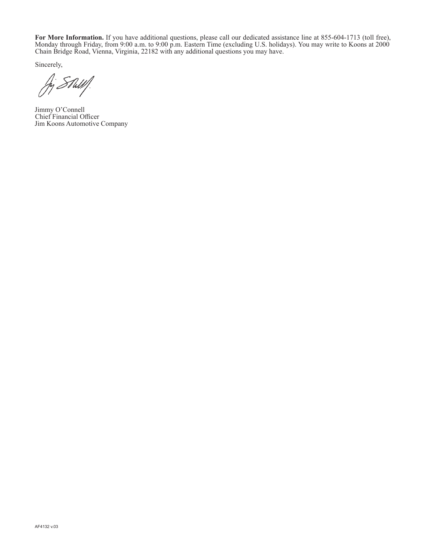For More Information. If you have additional questions, please call our dedicated assistance line at 855-604-1713 (toll free), Monday through Friday, from 9:00 a.m. to 9:00 p.m. Eastern Time (excluding U.S. holidays). You may write to Koons at 2000 Chain Bridge Road, Vienna, Virginia, 22182 with any additional questions you may have.

Sincerely,

Jy Soull!

Jimmy O'Connell Chief Financial Officer Jim Koons Automotive Company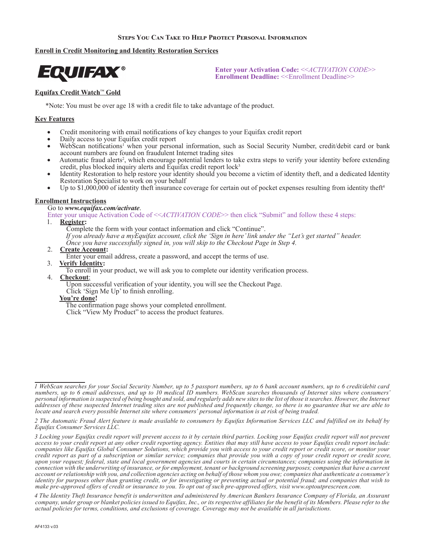#### **STEPS YOU CAN TAKE TO HELP PROTECT PERSONAL INFORMATION**

# **Enroll in Credit Monitoring and Identity Restoration Services**



**Enter your Activation Code:** <<*ACTIVATION CODE*>> **Enrollment Deadline: <<Enrollment Deadline>>** 

## **Equifax Credit Watch**™ **Gold**

\*Note: You must be over age 18 with a credit file to take advantage of the product.

# **Key Features**

- Credit monitoring with email notifications of key changes to your Equifax credit report
- Daily access to your Equifax credit report
- WebScan notifications<sup>1</sup> when your personal information, such as Social Security Number, credit/debit card or bank account numbers are found on fraudulent Internet trading sites
- Automatic fraud alerts<sup>2</sup>, which encourage potential lenders to take extra steps to verify your identity before extending credit, plus blocked inquiry alerts and Equifax credit report lock<sup>3</sup>
- Identity Restoration to help restore your identity should you become a victim of identity theft, and a dedicated Identity Restoration Specialist to work on your behalf
- Up to  $$1,000,000$  of identity theft insurance coverage for certain out of pocket expenses resulting from identity theft<sup>4</sup>

## **Enrollment Instructions**

### Go to www.equifax.com/activate.

Enter your unique Activation Code of  $<>$  then click "Submit" and follow these 4 steps:

- **Register:**
	- Complete the form with your contact information and click "Continue". *If you already have a myEquifax account, click the 'Sign in here' link under the "Let's get started" header. Once you have successfully signed in, you will skip to the Checkout Page in Step 4.*
- **Create Account:**

Enter your email address, create a password, and accept the terms of use.

**Verify Identity:**

To enroll in your product, we will ask you to complete our identity verification process.

**Checkout**:

Upon successful verification of your identity, you will see the Checkout Page. Click 'Sign Me  $Up$ ' to finish enrolling.

#### **You're done!**

The confirmation page shows your completed enrollment.

Click "View My Product" to access the product features.

*<sup>1</sup> WebScan searches for your Social Security Number, up to 5 passport numbers, up to 6 bank account numbers, up to 6 credit/debit card numbers, up to 6 email addresses, and up to 10 medical ID numbers. WebScan searches thousands of Internet sites where consumers' personal information is suspected of being bought and sold, and regularly adds new sites to the list of those it searches. However, the Internet addresses of these suspected Internet trading sites are not published and frequently change, so there is no guarantee that we are able to locate and search every possible Internet site where consumers' personal information is at risk of being traded.*

*<sup>2</sup> The Automatic Fraud Alert feature is made available to consumers by Equifax Information Services LLC and fulfilled on its behalf by Equifax Consumer Services LLC.*

*<sup>3</sup> Locking your Equifax credit report will prevent access to it by certain third parties. Locking your Equifax credit report will not prevent access to your credit report at any other credit reporting agency. Entities that may still have access to your Equifax credit report include: companies like Equifax Global Consumer Solutions, which provide you with access to your credit report or credit score, or monitor your credit report as part of a subscription or similar service; companies that provide you with a copy of your credit report or credit score, upon your request; federal, state and local government agencies and courts in certain circumstances; companies using the information in connection with the underwriting of insurance, or for employment, tenant or background screening purposes; companies that have a current account or relationship with you, and collection agencies acting on behalf of those whom you owe; companies that authenticate a consumer's identity for purposes other than granting credit, or for investigating or preventing actual or potential fraud; and companies that wish to make pre-approved offers of credit or insurance to you. To opt out of such pre-approved offers, visit www.optoutprescreen.com.*

*<sup>4</sup> The Identity Theft Insurance benefit is underwritten and administered by American Bankers Insurance Company of Florida, an Assurant company, under group or blanket policies issued to Equifax, Inc., or its respective affiliates for the benefit of its Members. Please refer to the actual policies for terms, conditions, and exclusions of coverage. Coverage may not be available in all jurisdictions.*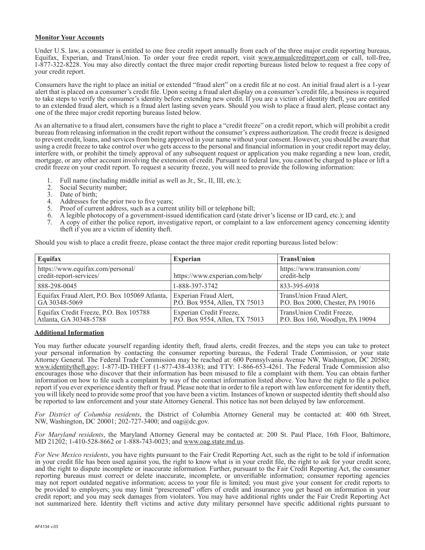### **Monitor Your Accounts**

Under U.S. law, a consumer is entitled to one free credit report annually from each of the three major credit reporting bureaus, Equifax, Experian, and TransUnion. To order your free credit report, visit www.annualcreditreport.com or call, toll-free, 1-877-322-8228. You may also directly contact the three major credit reporting bureaus listed below to request a free copy of your credit report.

Consumers have the right to place an initial or extended "fraud alert" on a credit file at no cost. An initial fraud alert is a 1-year alert that is placed on a consumer's credit file. Upon seeing a fraud alert display on a consumer's credit file, a business is required to take steps to verify the consumer's identity before extending new credit. If you are a victim of identity theft, you are entitled to an extended fraud alert, which is a fraud alert lasting seven years. Should you wish to place a fraud alert, please contact any one of the three major credit reporting bureaus listed below.

As an alternative to a fraud alert, consumers have the right to place a "credit freeze" on a credit report, which will prohibit a credit bureau from releasing information in the credit report without the consumer's express authorization. The credit freeze is designed to prevent credit, loans, and services from being approved in your name without your consent. However, you should be aware that using a credit freeze to take control over who gets access to the personal and financial information in your credit report may delay, interfere with, or prohibit the timely approval of any subsequent request or application you make regarding a new loan, credit, mortgage, or any other account involving the extension of credit. Pursuant to federal law, you cannot be charged to place or lift a credit freeze on your credit report. To request a security freeze, you will need to provide the following information:

- 1. Full name (including middle initial as well as Jr., Sr., II, III, etc.);
- 2. Social Security number;
- 3. Date of birth;<br>4. Addresses for
- Addresses for the prior two to five years;
- 5. Proof of current address, such as a current utility bill or telephone bill;
- 
- 6. A legible photocopy of a government-issued identification card (state driver's license or ID card, etc.); and 7. A copy of either the police report, investigative report, or complaint to a law enforcement agency concern A copy of either the police report, investigative report, or complaint to a law enforcement agency concerning identity theft if you are a victim of identity theft.

Should you wish to place a credit freeze, please contact the three major credit reporting bureaus listed below:

| Equifax                                                          | <b>Experian</b>                                           | TransUnion                                                   |
|------------------------------------------------------------------|-----------------------------------------------------------|--------------------------------------------------------------|
| https://www.equifax.com/personal/<br>credit-report-services/     | https://www.experian.com/help/                            | https://www.transunion.com/<br>credit-help                   |
| 888-298-0045                                                     | 1-888-397-3742                                            | 833-395-6938                                                 |
| Equifax Fraud Alert, P.O. Box 105069 Atlanta,<br>GA 30348-5069   | Experian Fraud Alert,<br>P.O. Box 9554, Allen, TX 75013   | TransUnion Fraud Alert,<br>P.O. Box 2000, Chester, PA 19016  |
| Equifax Credit Freeze, P.O. Box 105788<br>Atlanta, GA 30348-5788 | Experian Credit Freeze,<br>P.O. Box 9554, Allen, TX 75013 | TransUnion Credit Freeze,<br>P.O. Box 160, Woodlyn, PA 19094 |

# **Additional Information**

You may further educate yourself regarding identity theft, fraud alerts, credit freezes, and the steps you can take to protect your personal information by contacting the consumer reporting bureaus, the Federal Trade Commission, or your state Attorney General. The Federal Trade Commission may be reached at: 600 Pennsylvania Avenue NW, Washington, DC 20580; www.identitytheft.gov; 1-877-ID-THEFT (1-877-438-4338); and TTY: 1-866-653-4261. The Federal Trade Commission also encourages those who discover that their information has been misused to file a complaint with them. You can obtain further information on how to file such a complaint by way of the contact information listed above. You have the right to file a police report if you ever experience identity theft or fraud. Please note that in order to file a report with law enforcement for identity theft, you will likely need to provide some proof that you have been a victim. Instances of known or suspected identity theft should also be reported to law enforcement and your state Attorney General. This notice has not been delayed by law enforcement.

*For District of Columbia residents*, the District of Columbia Attorney General may be contacted at: 400 6th Street, NW, Washington, DC 20001; 202-727-3400; and  $\text{oag}(\hat{\omega})$ dc.gov.

*For Maryland residents*, the Maryland Attorney General may be contacted at: 200 St. Paul Place, 16th Floor, Baltimore, MD 21202; 1-410-528-8662 or 1-888-743-0023; and www.oag.state.md.us.

*For New Mexico residents*, you have rights pursuant to the Fair Credit Reporting Act, such as the right to be told if information in your credit file has been used against you, the right to know what is in your credit file, the right to ask for your credit score, and the right to dispute incomplete or inaccurate information. Further, pursuant to the Fair Credit Reporting Act, the consumer reporting bureaus must correct or delete inaccurate, incomplete, or unverifiable information; consumer reporting agencies may not report outdated negative information; access to your file is limited; you must give your consent for credit reports to be provided to employers; you may limit "prescreened" offers of credit and insurance you get based on information in your credit report; and you may seek damages from violators. You may have additional rights under the Fair Credit Reporting Act not summarized here. Identity theft victims and active duty military personnel have specific additional rights pursuant to